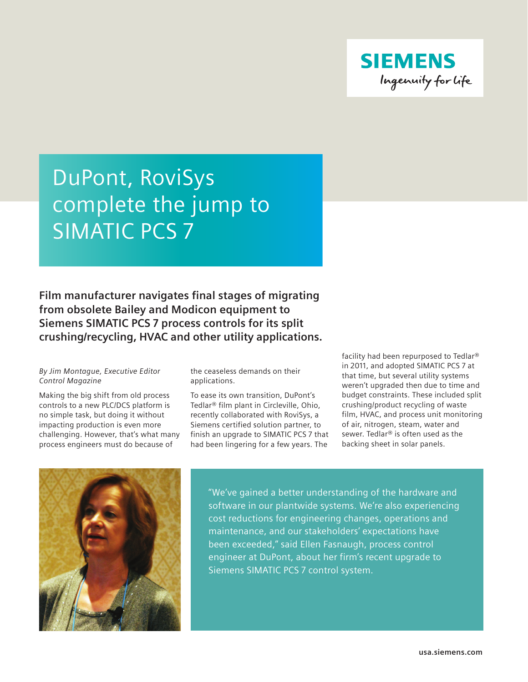

## DuPont, RoviSys complete the jump to SIMATIC PCS 7

**Film manufacturer navigates final stages of migrating from obsolete Bailey and Modicon equipment to Siemens SIMATIC PCS 7 process controls for its split crushing/recycling, HVAC and other utility applications.**

## *By Jim Montague, Executive Editor Control Magazine*

Making the big shift from old process controls to a new PLC/DCS platform is no simple task, but doing it without impacting production is even more challenging. However, that's what many process engineers must do because of

the ceaseless demands on their applications.

To ease its own transition, DuPont's Tedlar® film plant in Circleville, Ohio, recently collaborated with RoviSys, a Siemens certified solution partner, to finish an upgrade to SIMATIC PCS 7 that had been lingering for a few years. The

facility had been repurposed to Tedlar® in 2011, and adopted SIMATIC PCS 7 at that time, but several utility systems weren't upgraded then due to time and budget constraints. These included split crushing/product recycling of waste film, HVAC, and process unit monitoring of air, nitrogen, steam, water and sewer. Tedlar® is often used as the backing sheet in solar panels.



"We've gained a better understanding of the hardware and software in our plantwide systems. We're also experiencing cost reductions for engineering changes, operations and maintenance, and our stakeholders' expectations have been exceeded," said Ellen Fasnaugh, process control engineer at DuPont, about her firm's recent upgrade to Siemens SIMATIC PCS 7 control system.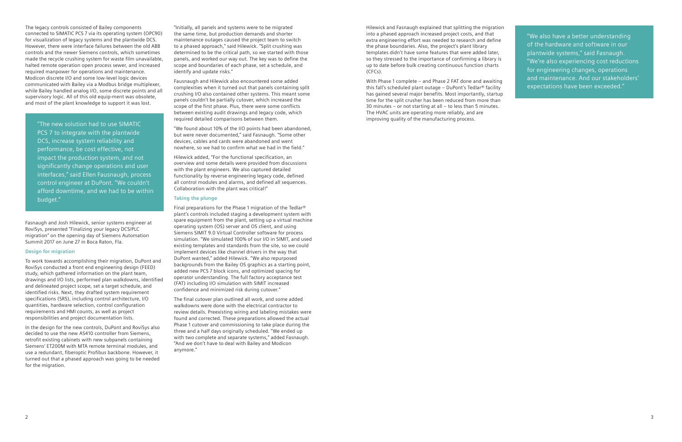"The new solution had to use SIMATIC PCS 7 to integrate with the plantwide DCS, increase system reliability and performance, be cost effective, not impact the production system, and not significantly change operations and user interfaces," said Ellen Fausnaugh, process control engineer at DuPont. "We couldn't afford downtime, and we had to be within budget."

Fasnaugh and Josh Hilewick, senior systems engineer at RoviSys, presented "Finalizing your legacy DCS/PLC migration" on the opening day of Siemens Automation Summit 2017 on June 27 in Boca Raton, Fla.

## **Design for migration**

To work towards accomplishing their migration, DuPont and RoviSys conducted a front end engineering design (FEED) study, which gathered information on the plant team, drawings and I/O lists, performed plan walkdowns, identified and delineated project scope, set a target schedule, and identified risks. Next, they drafted system requirement specifications (SRS), including control architecture, I/O quantities, hardware selection, control configuration requirements and HMI counts, as well as project responsibilities and project documentation lists.

In the design for the new controls, DuPont and RoviSys also decided to use the new AS410 controller from Siemens, retrofit existing cabinets with new subpanels containing Siemens' ET200M with MTA remote terminal modules, and use a redundant, fiberoptic Profibus backbone. However, it turned out that a phased approach was going to be needed for the migration.

"Initially, all panels and systems were to be migrated the same time, but production demands and shorter maintenance outages caused the project team to switch to a phased approach," said Hilewick. "Split crushing was determined to be the critical path, so we started with those panels, and worked our way out. The key was to define the scope and boundaries of each phase, set a schedule, and identify and update risks."

Fausnaugh and Hilewick also encountered some added complexities when it turned out that panels containing split crushing I/O also contained other systems. This meant some panels couldn't be partially cutover, which increased the scope of the first phase. Plus, there were some conflicts between existing audit drawings and legacy code, which required detailed comparisons between them.

"We found about 10% of the I/O points had been abandoned, but were never documented," said Fasnaugh. "Some other devices, cables and cards were abandoned and went nowhere, so we had to confirm what we had in the field."

Hilewick added, "For the functional specification, an overview and some details were provided from discussions with the plant engineers. We also captured detailed functionality by reverse engineering legacy code, defined all control modules and alarms, and defined all sequences. Collaboration with the plant was critical!"

## **Taking the plunge**

Final preparations for the Phase 1 migration of the Tedlar® plant's controls included staging a development system with spare equipment from the plant, setting up a virtual machine operating system (OS) server and OS client, and using Siemens SIMIT 9.0 Virtual Controller software for process simulation. "We simulated 100% of our I/O in SIMIT, and used existing templates and standards from the site, so we could implement devices like channel drivers in the way that DuPont wanted," added Hilewick. "We also repurposed backgrounds from the Bailey OS graphics as a starting point, added new PCS 7 block icons, and optimized spacing for operator understanding. The full factory acceptance test (FAT) including I/O simulation with SIMIT increased confidence and minimized risk during cutover."

The final cutover plan outlined all work, and some added walkdowns were done with the electrical contractor to review details. Preexisting wiring and labeling mistakes were found and corrected. These preparations allowed the actual Phase 1 cutover and commissioning to take place during the three and a half days originally scheduled. "We ended up with two complete and separate systems," added Fasnaugh. "And we don't have to deal with Bailey and Modicon anymore."

Hilewick and Fasnaugh explained that splitting the migration into a phased approach increased project costs, and that extra engineering effort was needed to research and define the phase boundaries. Also, the project's plant library templates didn't have some features that were added later, so they stressed to the importance of confirming a library is up to date before bulk creating continuous function charts (CFCs).

With Phase 1 complete – and Phase 2 FAT done and awaiting this fall's scheduled plant outage – DuPont's Tedlar® facility has gained several major benefits. Most importantly, startup time for the split crusher has been reduced from more than 30 minutes – or not starting at all – to less than 5 minutes. The HVAC units are operating more reliably, and are improving quality of the manufacturing process.

"We also have a better understanding of the hardware and software in our plantwide systems," said Fasnaugh. "We're also experiencing cost reductions for engineering changes, operations and maintenance. And our stakeholders' expectations have been exceeded."

The legacy controls consisted of Bailey components connected to SIMATIC PCS 7 via its operating system (OPC90) for visualization of legacy systems and the plantwide DCS. However, there were interface failures between the old ABB controls and the newer Siemens controls, which sometimes made the recycle crushing system for waste film unavailable, halted remote operation open process sewer, and increased required manpower for operations and maintenance. Modicon discrete I/O and some low-level logic devices communicated with Bailey via a Modbus bridge multiplexer, while Bailey handled analog I/O, some discrete points and all supervisory logic. All of this old equip-ment was obsolete, and most of the plant knowledge to support it was lost.